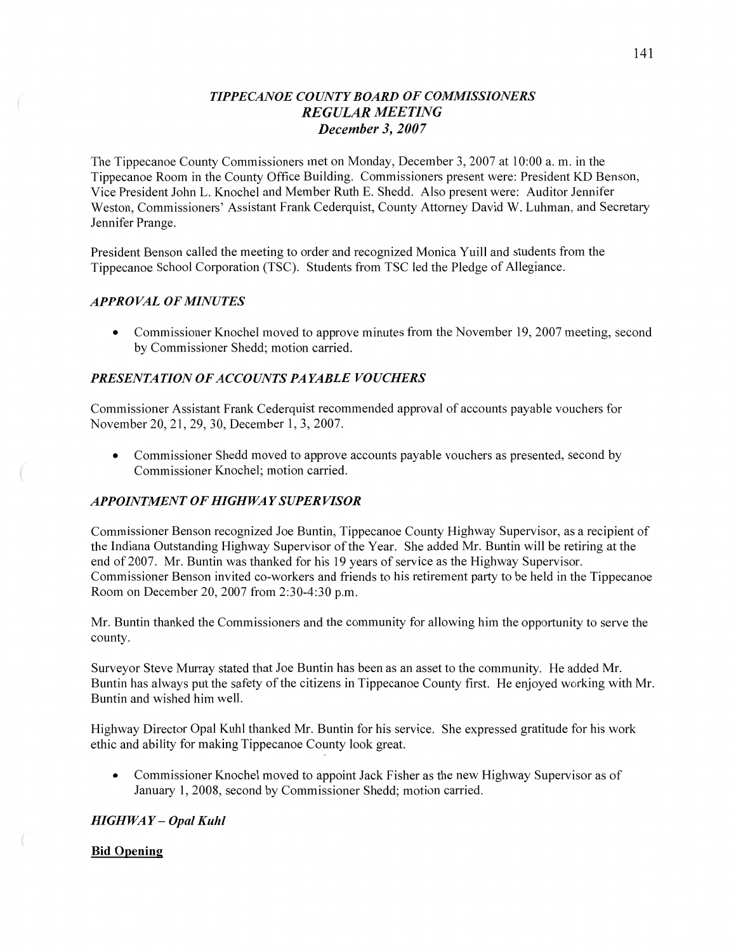## *<sup>T</sup>IPPECANOE COUNTY BOARD* OF *COMMISSIONERS REGULAR MEETING December* 3, *2007*

The Tippecanoe County Commissioners met on Monday, December 3, 2007 at 10:00 a. m. in the Tippecanoe Room in the County Office Building. Commissioners present were: President KD Benson, Vice President John L. Knochel and Member Ruth E. Shedd. Also present were: Auditor Jennifer Weston, Commissioners' Assistant Frank Cederquist, County Attorney David W. Luhman, and Secretary Jennifer Prange.

President Benson called the meeting to order and recognized Monica Yuill and students from the Tippecanoe School Corporation (TSC). Students from TSC led the Pledge of Allegiance.

#### *APPRO* VAL OF *MINUTES*

**0** Commissioner Knochel moved to approve minutes from the November 19, 2007 meeting, second by Commissioner Shedd; motion carried.

#### **PRESENTATION OF ACCOUNTS PAYABLE VOUCHERS**

Commissioner Assistant Frank Cederquist recommended approval of accounts payable vouchers for November 20, 21, 29, 30, December 1, 3, 2007.

• Commissioner Shedd moved to approve accounts payable vouchers as presented, second by Commissioner Knochel; motion carried.

#### *APPOINTMENT* OF *HIGHWAY SUPER VISOR*

Commissioner Benson recognized Joe Buntin, Tippecanoe County Highway Supervisor, as a recipient of the Indiana Outstanding Highway Supervisor of the Year. She added Mr. Buntin will be retiring at the end of 2007. Mr. Buntin was thanked for his 19 years of service as the Highway Supervisor. Commissioner Benson invited co-workers and friends to his retirement party to be held in the Tippecanoe Room on December 20, 2007 from 2:30-4:30 pm.

Mr. Buntin thanked the Commissioners and the community for allowing him the opportunity to serve the county.

Surveyor Steve Murray stated that Joe Buntin has been as an asset to the community. He added Mr. Buntin has always put the safety of the citizens in Tippecanoe County first. He enjoyed working with Mr. Buntin and Wished him well.

Highway Director Opal Kuhl thanked Mr. Buntin for his service. She expressed gratitude for his work ethic and ability for making Tippecanoe County look great.

**0** Commissioner Knochel moved to appoint Jack Fisher as the new Highway Supervisor as of January 1, 2008, second by Commissioner Shedd; motion carried.

### *HIGH* WA *Y* **—** *Opal Kuhl*

#### Bid **Opening**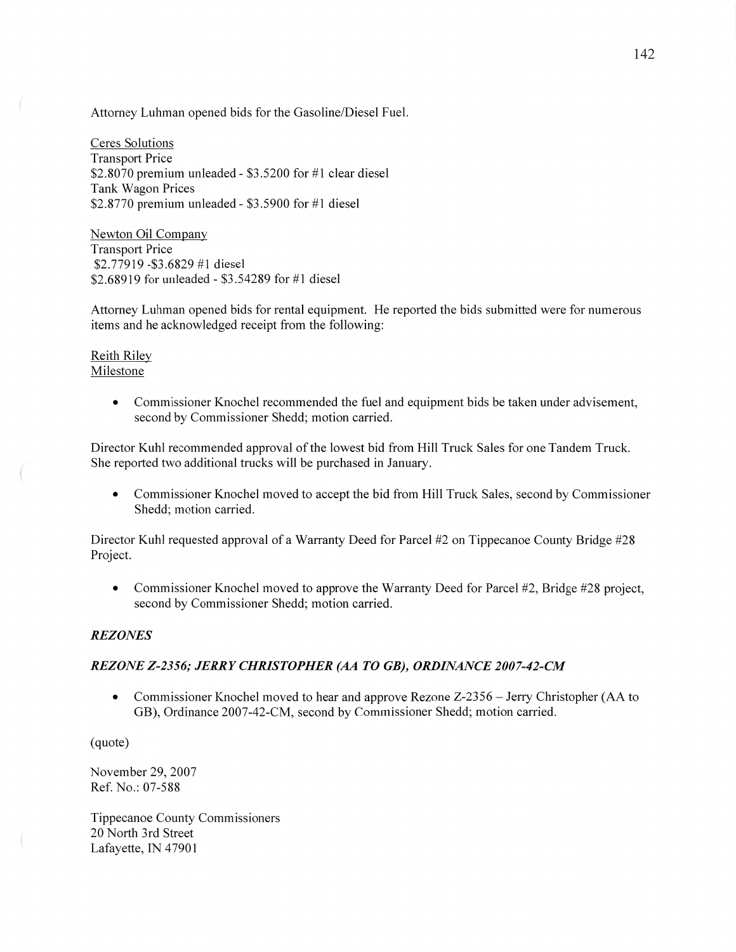Attorney Luhman opened bids for the Gasoline/Diesel Fuel.

Ceres Solutions Transport Price \$2.8070 premium unleaded *-* \$35200 for #1 clear diesel Tank Wagon Prices \$2.8770 premium unleaded **-** \$35900 for #1 diesel

Newton Oil Company Transport Price \$277919 -\$3.6829 #1 diesel \$268919 for unleaded *-* \$354289 for #1 diesel

Attorney Luhman opened bids for rental equipment. He reported the bids submitted were for numerous items and he acknowledged receipt from the following:

Reith Riley Milestone

3mm»

**0** Commissioner Knochel recommended the fuel and equipment bids be taken under advisement, second by Commissioner Shedd; motion carried.

Director Kuhl recommended approval of the lowest bid from Hill Truck Sales for one Tandem Truck. She reported two additional trucks will be purchased in January.

**0** Commissioner Knochel moved to accept the bid from Hill Truck Sales, second by Commissioner Shedd; motion carried.

Director Kuhl requested approval of a Warranty Deed for Parcel #2 on Tippecanoe County Bridge #28 Project.

*0* Commissioner Knochel moved to approve the Warranty Deed for Parcel #2, Bridge #28 project, second by Commissioner Shedd; motion carried.

### *REZONES*

### *REZONE Z-235* 6; *JERRY CHRISTOPHER* (AA *T 0 GB), ORDINANCE 2007-42-CM*

• Commissioner Knochel moved to hear and approve Rezone Z-2356 – Jerry Christopher (AA to GB), Ordinance 2007-42-CM, second by Commissioner Shedd; motion carried.

(quote)

November 29, 2007 Ref. No.: 07-588

Tippecanoe County Commissioners 20 North 3rd Street Lafayette, IN 47901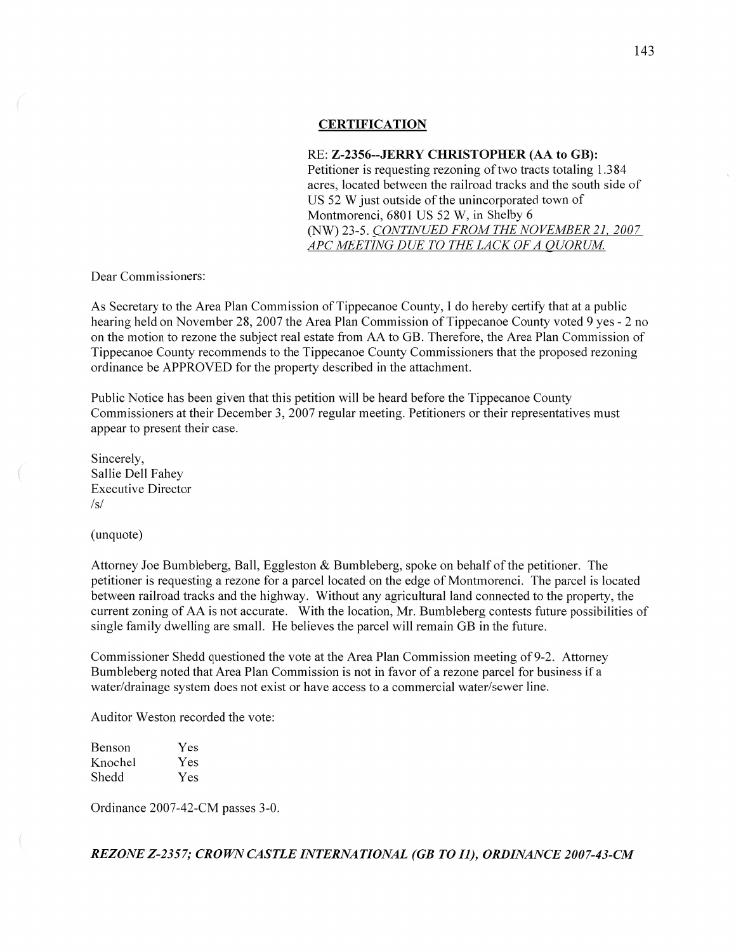#### **CERTIFICATION**

#### RE: **Z-2356--JERRY CHRISTOPHER** (AA to GB):

Petitioner is requesting rezoning of two tracts totaling 1.384 acres, located between the railroad tracks and the south side of US 52 **W** just outside of the unincorporated town of Montmorenci, 6801 US 52 W, in Shelby 6 (NW) 23-5. *CONTINUED FROM* THE *NOVEMBER* 21, *2007*  APC MEETING DUE TO THE LACK OF A QUORUM.

Dear Commissioners:

As Secretary to the Area Plan Commission of Tippecanoe County, **I** do hereby certify that at a public hearing held on November 28, 2007 the Area Plan Commission of Tippecanoe County voted 9 yes **-** 2 no on the motion to rezone the subject real estate from AA to GB. Therefore, the Area Plan Commission of Tippecanoe County recommends to the Tippecanoe County Commissioners that the proposed rezoning ordinance be APPROVED for the property described in the attachment.

Public Notice has been given that this petition will be heard before the Tippecanoe County Commissioners at their December 3, 2007 regular meeting. Petitioners or their representatives must appear to present their case.

Sincerely, Sallie Dell Fahey Executive Director /s/

(unquote)

Attorney Joe Bumbleberg, Ball, Eggleston & Bumbleberg, spoke on behalf of the petitioner. The petitioner is requesting a rezone for a parcel located on the edge of Montmorenci. The parcel is located between railroad tracks and the highway. Without any agricultural land connected to the property, the current zoning of AA is not accurate. With the location, Mr. Bumbleberg contests future possibilities of single family dwelling are small. He believes the parcel will remain GB in the future.

Commissioner Shedd questioned the vote at the Area Plan Commission meeting of 9-2. Attorney Bumbleberg noted that Area Plan Commission is not in favor of a rezone parcel for business if a water/drainage system does not exist or have access to a commercial water/sewer line.

Auditor Weston recorded the vote:

| Benson  | Yes |
|---------|-----|
| Knochel | Yes |
| Shedd   | Yes |

Ordinance 2007-42-CM passes 3-0.

*REZONE Z-235* 7; *CROWN CASTLE INTERNATIONAL* (GB *T 0 II), ORDINANCE 2007-43-CM*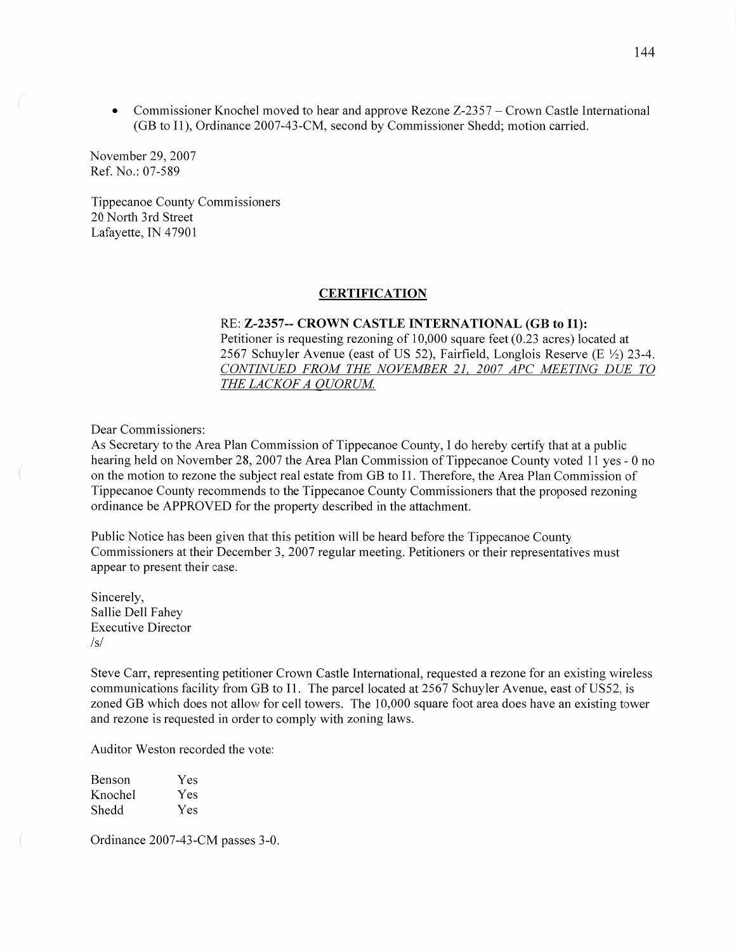• Commissioner Knochel moved to hear and approve Rezone Z-2357 – Crown Castle International (GB to 1]), Ordinance 2007-43 -CM, second by Commissioner Shedd; motion carried.

November 29, 2007 Ref. No.2 07-589

Tippecanoe County Commissioners 20 North 3rd Street Lafayette, IN 47901

#### **CERTIFICATION**

#### RE: **Z-2357-- CROWN CASTLE INTERNATIONAL** (GB to 11):

Petitioner is requesting rezoning of 10,000 square feet (0.23 acres) located at 2567 Schuyler Avenue (east of US 52), Fairfield, Longlois Reserve (E  $\frac{1}{2}$ ) 23-4. *CONTINUED FROM* THE *NOVEMBER* 21, *2007* APC *MEETING* DUE TO THE LACKOF A QUORUM.

Dear Commissioners:

As Secretary to the Area Plan Commission of Tippecanoe County, I do hereby certify that at a public hearing held on November 28, 2007 the Area Plan Commission of Tippecanoe County voted 11 yes *-* 0 no on the motion to rezone the subject real estate from GB to 11. Therefore, the Area Plan Commission of Tippecanoe County recommends to the Tippecanoe County Commissioners that the proposed rezoning ordinance be APPROVED for the property described in the attachment.

Public Notice has been given that this petition will be heard before the Tippecanoe County Commissioners at their December 3, 2007 regular meeting. Petitioners or their representatives must appear to present their case.

Sincerely, Sallie Dell Fahey Executive Director  $\sqrt{s}$ 

Steve Carr, representing petitioner Crown Castle International, requested <sup>a</sup>rezone for an existing wireless communications facility from GB to I1. The parcel located at 2567 Schuyler Avenue, east of US52, is zoned GB which does not allow for cell towers. The 10,000 square foot area does have an existing tower and rezone is requested in order to comply with zoning laws.

Auditor Weston recorded the vote:

| <b>Benson</b> | Yes |
|---------------|-----|
| Knochel       | Yes |
| Shedd         | Yes |

Ordinance 2007-43—CM passes 3-0.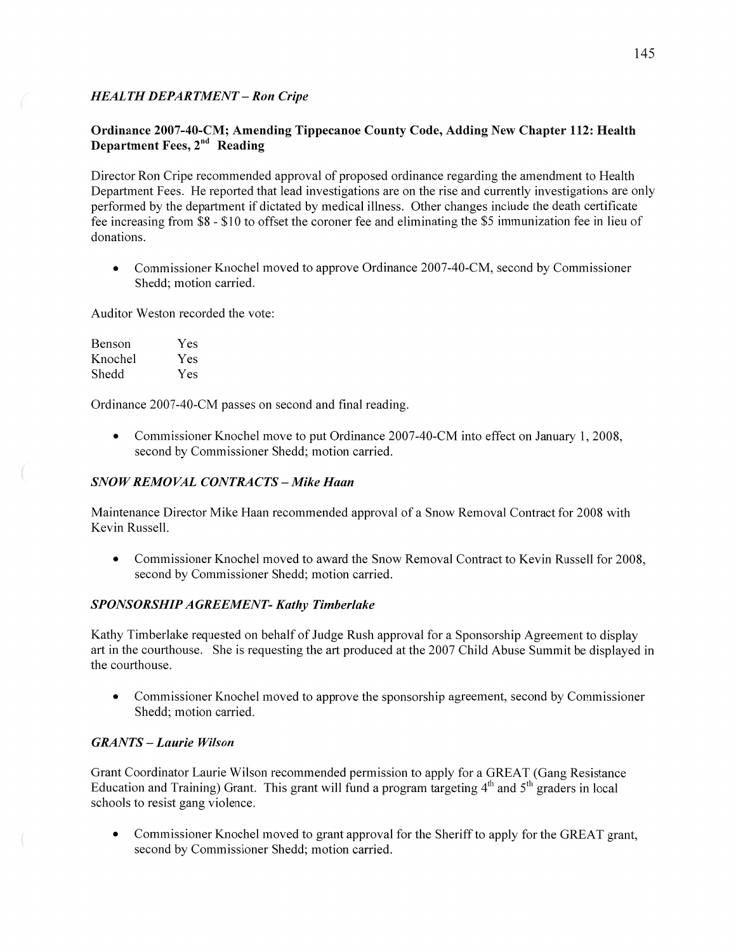## *HEALTH DEPARTMENT* **—** Ron *Cripe*

## **Ordinance 2007-40-CM;** Amending **Tippecanoe County Code, Adding** New **Chapter 112: Health Department Fees, 2<sup>nd</sup> Reading**

Director Ron Cripe recommended approval of proposed ordinance regarding the amendment to Health Department Fees. He reported that lead investigations are on the rise and currently investigations are only performed by the department if dictated by medical illness. Other changes include the death certificate fee increasing from \$8 *-* \$10 to offset the coroner fee and eliminating the \$5 immunization fee in lieu of donations.

**0** Commissioner Knochel moved to approve Ordinance 2007-40-CM, second by Commissioner Shedd; motion carried.

Auditor Weston recorded the vote:

| Benson  | Yes |
|---------|-----|
| Knochel | Yes |
| Shedd   | Yes |

Ordinance 2007-40—CM passes on second and final reading.

**0** Commissioner Knochel move to put Ordinance 2007-40-CM into effect on January 1, 2008, second by Commissioner Shedd; motion carried.

### *SNOWREMOVAL CONTRACTS* — *Mike Haan*

Maintenance Director Mike Haan recommended approval of a Snow Removal Contract for 2008 with Kevin Russell.

**0** Commissioner Knochel moved to award the Snow Removal Contract to Kevin Russell for 2008, second by Commissioner Shedd; motion carried.

### **SPONSORSHIP AGREEMENT- Kathy Timberlake**

Kathy Timberlake requested on behalf of Judge Rush approval for a Sponsorship Agreement to display art in the courthouse. She is requesting the art produced at the 2007 Child Abuse Summit be displayed in the courthouse.

*0* Commissioner Knochel moved to approve the sponsorship agreement, second by Commissioner Shedd; motion carried.

## $GRANTS - Laurie Wilson$

Grant Coordinator Laurie Wilson recommended permission to apply for a GREAT (Gang Resistance Education and Training) Grant. This grant will fund a program targeting  $4<sup>th</sup>$  and  $5<sup>th</sup>$  graders in local schools to resist gang violence.

**0** Commissioner Knochel moved to grant approval for the Sheriff to apply for the GREAT grant, second by Commissioner Shedd; motion carried.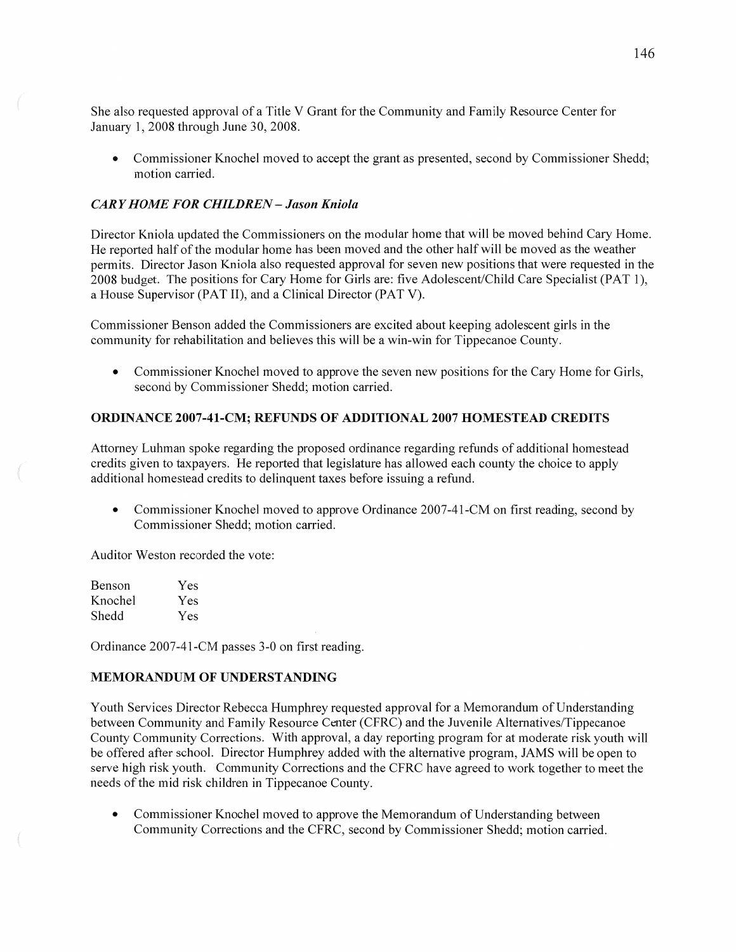She also requested approval of **a** Title **V** Grant for the Community and Family Resource Center for January 1, 2008 through June 30, 2008.

**0** Commissioner Knochel moved to accept the grant as presented, second by Commissioner Shedd; motion carried.

#### *CARY HOME* FOR *CHILDREN* **—** *Jason Kniola*

Director Kniola updated the Commissioners on the modular home **that** will be moved behind Cary Home. He reported half of the modular home has been moved and the other half will be moved as the weather permits. Director Jason Kniola also requested approval for seven new positions that were requested in the 2008 budget. The positions for Cary Home for Girls are: five Adolescent/Child Care Specialist (PAT 1), a House Supervisor (PAT II), and a Clinical Director (PAT V).

Commissioner Benson added the Commissioners are excited about keeping adolescent girls in the community for rehabilitation and believes this will be **a** Win-win for Tippecanoe County.

**0** Commissioner Knochel moved to approve the seven new positions for the Cary Home for Girls, second by Commissioner Shedd; motion carried.

#### **ORDINANCE 2007-41—CM; REFUNDS** OF **ADDITIONAL 2007 HOMESTEAD CREDITS**

Attorney Luhman spoke regarding the proposed ordinance regarding refunds of additional homestead credits given to taxpayers. He reported that legislature has allowed each county the choice to apply additional homestead credits to delinquent taxes before issuing a refund.

**0** Commissioner Knochel moved to approve Ordinance 2007-41-CM on first reading, second by Commissioner Shedd; motion carried.

Auditor Weston recorded the vote:

| Benson  | Yes |
|---------|-----|
| Knochel | Yes |
| Shedd   | Yes |

Ordinance 2007-41-CM passes 3-0 on first reading.

### **MEMORANDUM** OF **UNDERSTANDING**

Youth Services Director Rebecca Humphrey requested approval for **a** Memorandum of Understanding between Community and Family Resource Center (CFRC) and the Juvenile Altematives/Tippecanoe County Community Corrections. With approval, a day reporting program for at moderate risk youth will be offered after school. Director Humphrey added with the alternative program, JAMS will be open to serve high risk youth. Community Corrections and the CFRC have agreed to work together to meet the needs of the mid risk children in Tippecanoe County.

**0** Commissioner Knochel moved to approve the Memorandum of Understanding between Community Corrections and the CFRC, second by Commissioner Shedd; motion carried.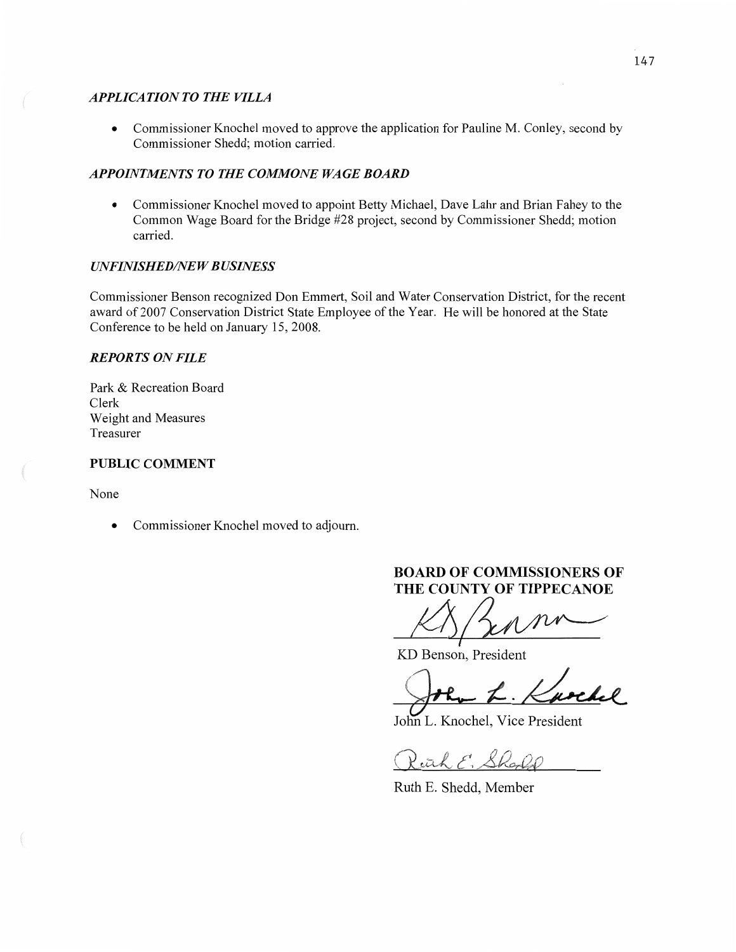### *APPLICATION TO THE VILLA*

• Commissioner Knochel moved to approve the application for Pauline M. Conley, second by Commissioner Shedd; motion carried.

## *APPOINTMENTS* TO THE *COMMONE* WA GE *BOARD*

**0** Commissioner Knochel moved to appoint Betty Michael, Dave Lahr and Brian Fahey to the Common Wage Board for the Bridge #28 project, second by Commissioner Shedd; motion carried.

## *UNFINISHED/NE W B USINESS*

Commissioner Benson recognized Don Emmert, Soil and Water Conservation District, for the recent award of 2007 Conservation District State Employee of the Year. He will be honored at the State Conference to be held on January 15, 2008.

## *REPORTS* ON *FILE*

Park & Recreation Board Clerk Weight and Measures Treasurer

## **PUBLIC COMMENT**

None

 $($ 

**0** Commissioner Knochel moved to adjourn.

# **BOARD** OF **COMMISSIONERS** OF **THE COUNTY OF TIPPECANOE**

*Mfl/MW* 

KD Benson, President

Benson, President

John L. Knochel, Vice President

Pitch E. Sharll

Ruth E. Shedd, Member